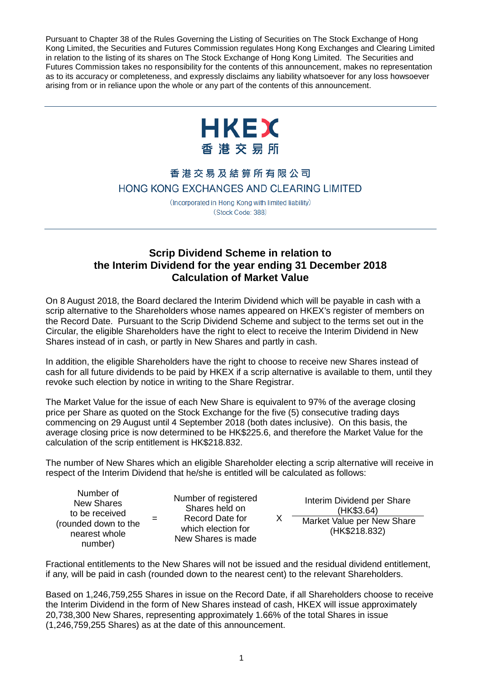Pursuant to Chapter 38 of the Rules Governing the Listing of Securities on The Stock Exchange of Hong Kong Limited, the Securities and Futures Commission regulates Hong Kong Exchanges and Clearing Limited in relation to the listing of its shares on The Stock Exchange of Hong Kong Limited. The Securities and Futures Commission takes no responsibility for the contents of this announcement, makes no representation as to its accuracy or completeness, and expressly disclaims any liability whatsoever for any loss howsoever arising from or in reliance upon the whole or any part of the contents of this announcement.



## 香港交易及結算所有限公司 HONG KONG EXCHANGES AND CLEARING LIMITED

(Incorporated in Hong Kong with limited liability) (Stock Code: 388)

## **Scrip Dividend Scheme in relation to the Interim Dividend for the year ending 31 December 2018 Calculation of Market Value**

On 8 August 2018, the Board declared the Interim Dividend which will be payable in cash with a scrip alternative to the Shareholders whose names appeared on HKEX's register of members on the Record Date. Pursuant to the Scrip Dividend Scheme and subject to the terms set out in the Circular, the eligible Shareholders have the right to elect to receive the Interim Dividend in New Shares instead of in cash, or partly in New Shares and partly in cash.

In addition, the eligible Shareholders have the right to choose to receive new Shares instead of cash for all future dividends to be paid by HKEX if a scrip alternative is available to them, until they revoke such election by notice in writing to the Share Registrar.

The Market Value for the issue of each New Share is equivalent to 97% of the average closing price per Share as quoted on the Stock Exchange for the five (5) consecutive trading days commencing on 29 August until 4 September 2018 (both dates inclusive). On this basis, the average closing price is now determined to be HK\$225.6, and therefore the Market Value for the calculation of the scrip entitlement is HK\$218.832.

The number of New Shares which an eligible Shareholder electing a scrip alternative will receive in respect of the Interim Dividend that he/she is entitled will be calculated as follows:

X

Number of New Shares to be received (rounded down to the nearest whole number)

=

Number of registered Shares held on Record Date for which election for New Shares is made

Interim Dividend per Share (HK\$3.64) Market Value per New Share (HK\$218.832)

Fractional entitlements to the New Shares will not be issued and the residual dividend entitlement, if any, will be paid in cash (rounded down to the nearest cent) to the relevant Shareholders.

Based on 1,246,759,255 Shares in issue on the Record Date, if all Shareholders choose to receive the Interim Dividend in the form of New Shares instead of cash, HKEX will issue approximately 20,738,300 New Shares, representing approximately 1.66% of the total Shares in issue (1,246,759,255 Shares) as at the date of this announcement.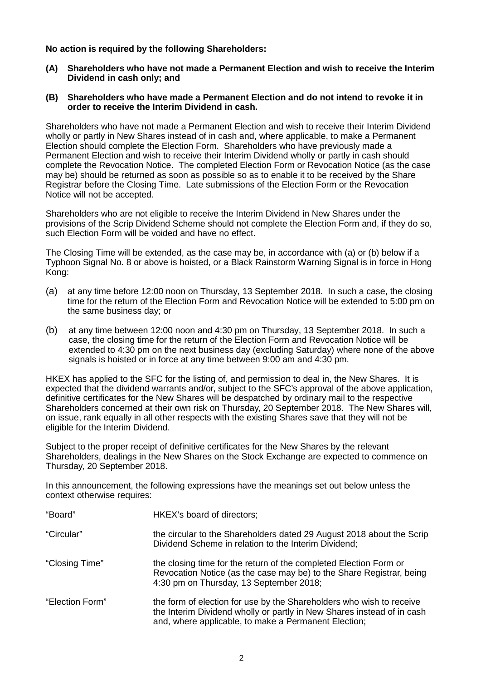**No action is required by the following Shareholders:**

- **(A) Shareholders who have not made a Permanent Election and wish to receive the Interim Dividend in cash only; and**
- **(B) Shareholders who have made a Permanent Election and do not intend to revoke it in order to receive the Interim Dividend in cash.**

Shareholders who have not made a Permanent Election and wish to receive their Interim Dividend wholly or partly in New Shares instead of in cash and, where applicable, to make a Permanent Election should complete the Election Form. Shareholders who have previously made a Permanent Election and wish to receive their Interim Dividend wholly or partly in cash should complete the Revocation Notice. The completed Election Form or Revocation Notice (as the case may be) should be returned as soon as possible so as to enable it to be received by the Share Registrar before the Closing Time. Late submissions of the Election Form or the Revocation Notice will not be accepted.

Shareholders who are not eligible to receive the Interim Dividend in New Shares under the provisions of the Scrip Dividend Scheme should not complete the Election Form and, if they do so, such Election Form will be voided and have no effect.

The Closing Time will be extended, as the case may be, in accordance with (a) or (b) below if a Typhoon Signal No. 8 or above is hoisted, or a Black Rainstorm Warning Signal is in force in Hong Kong:

- (a) at any time before 12:00 noon on Thursday, 13 September 2018. In such a case, the closing time for the return of the Election Form and Revocation Notice will be extended to 5:00 pm on the same business day; or
- (b) at any time between 12:00 noon and 4:30 pm on Thursday, 13 September 2018. In such a case, the closing time for the return of the Election Form and Revocation Notice will be extended to 4:30 pm on the next business day (excluding Saturday) where none of the above signals is hoisted or in force at any time between 9:00 am and 4:30 pm.

HKEX has applied to the SFC for the listing of, and permission to deal in, the New Shares. It is expected that the dividend warrants and/or, subject to the SFC's approval of the above application, definitive certificates for the New Shares will be despatched by ordinary mail to the respective Shareholders concerned at their own risk on Thursday, 20 September 2018. The New Shares will, on issue, rank equally in all other respects with the existing Shares save that they will not be eligible for the Interim Dividend.

Subject to the proper receipt of definitive certificates for the New Shares by the relevant Shareholders, dealings in the New Shares on the Stock Exchange are expected to commence on Thursday, 20 September 2018.

In this announcement, the following expressions have the meanings set out below unless the context otherwise requires:

| "Board"         | HKEX's board of directors;                                                                                                                                                                             |
|-----------------|--------------------------------------------------------------------------------------------------------------------------------------------------------------------------------------------------------|
| "Circular"      | the circular to the Shareholders dated 29 August 2018 about the Scrip<br>Dividend Scheme in relation to the Interim Dividend;                                                                          |
| "Closing Time"  | the closing time for the return of the completed Election Form or<br>Revocation Notice (as the case may be) to the Share Registrar, being<br>4:30 pm on Thursday, 13 September 2018;                   |
| "Election Form" | the form of election for use by the Shareholders who wish to receive<br>the Interim Dividend wholly or partly in New Shares instead of in cash<br>and, where applicable, to make a Permanent Election; |